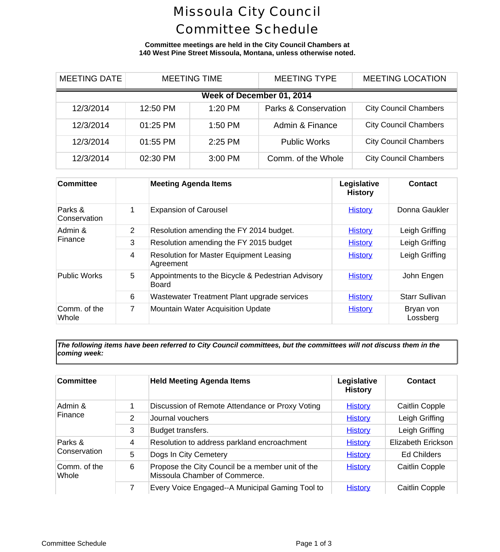## Missoula City Council Committee Schedule

**Committee meetings are held in the City Council Chambers at 140 West Pine Street Missoula, Montana, unless otherwise noted.**

| <b>MEETING DATE</b>       |  | <b>MEETING TIME</b> |         | <b>MEETING TYPE</b>             | <b>MEETING LOCA</b>      |  |
|---------------------------|--|---------------------|---------|---------------------------------|--------------------------|--|
| Week of December 01, 2014 |  |                     |         |                                 |                          |  |
| 12/3/2014                 |  | 12:50 PM            | 1:20 PM | <b>Parks &amp; Conservation</b> | <b>City Council Cham</b> |  |
| 12/3/2014                 |  | 01:25 PM            | 1:50 PM | Admin & Finance                 | <b>City Council Cham</b> |  |
| 12/3/2014                 |  | 01:55 PM            | 2:25 PM | <b>Public Works</b>             | <b>City Council Cham</b> |  |
| 12/3/2014                 |  | 02:30 PM            | 3:00 PM | Comm. of the Whole              | <b>City Council Cham</b> |  |

| <b>Committee</b>        |   | <b>Meeting Agenda Items</b>                                       | Legislative<br><b>History</b> | <b>Conti</b>          |
|-------------------------|---|-------------------------------------------------------------------|-------------------------------|-----------------------|
| Parks &<br>Conservation | 1 | <b>Expansion of Carousel</b>                                      | <b>History</b>                | Donna G               |
| Admin &<br>Finance      | 2 | Resolution amending the FY 2014 budget.                           | <b>History</b>                | Leigh G               |
|                         | 3 | Resolution amending the FY 2015 budget                            | <b>History</b>                | Leigh G               |
|                         | 4 | <b>Resolution for Master Equipment Leasing</b><br>Agreement       | <b>History</b>                | Leigh G               |
| <b>Public Works</b>     | 5 | Appointments to the Bicycle & Pedestrian Advisory<br><b>Board</b> | <b>History</b>                | John El               |
|                         | 6 | Wastewater Treatment Plant upgrade services                       | <b>History</b>                | <b>Starr Su</b>       |
| Comm. of the<br>Whole   | 7 | <b>Mountain Water Acquisition Update</b>                          | <b>History</b>                | <b>Bryan</b><br>Lossb |

*The following items have been referred to City Council committees, but the committees will not discuss them in the coming week:*

| <b>Committee</b>        |   | <b>Held Meeting Agenda Items</b>                                                  | Legislative<br><b>History</b> | Conta       |
|-------------------------|---|-----------------------------------------------------------------------------------|-------------------------------|-------------|
| Admin &<br>Finance      |   | Discussion of Remote Attendance or Proxy Voting                                   | <b>History</b>                | Caitlin C   |
|                         | 2 | Journal vouchers                                                                  | <b>History</b>                | Leigh Gr    |
|                         | 3 | Budget transfers.                                                                 | <b>History</b>                | Leigh Gr    |
| Parks &<br>Conservation | 4 | Resolution to address parkland encroachment                                       | <b>History</b>                | Elizabeth E |
|                         | 5 | Dogs In City Cemetery                                                             | <b>History</b>                | Ed Chile    |
| Comm. of the<br>Whole   | 6 | Propose the City Council be a member unit of the<br>Missoula Chamber of Commerce. | <b>History</b>                | Caitlin C   |
|                         |   | Every Voice Engaged--A Municipal Gaming Tool to                                   | <b>History</b>                | Caitlin C   |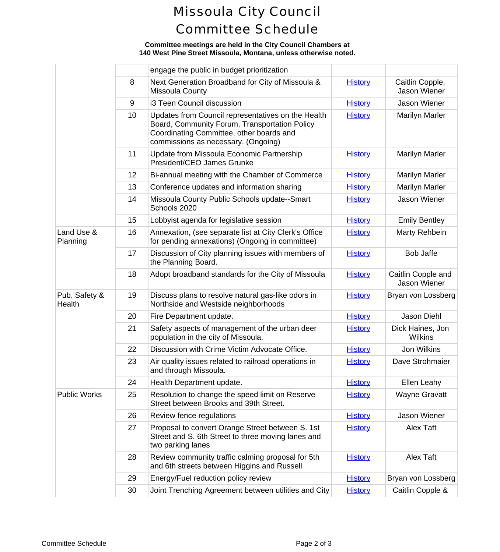# Missoula City Council Committee Schedule

### **Committee meetings are held in the City Council Chambers at 140 West Pine Street Missoula, Montana, unless otherwise noted.**

|                         |    | engage the public in budget prioritization                                                                                                                                             |                |                             |
|-------------------------|----|----------------------------------------------------------------------------------------------------------------------------------------------------------------------------------------|----------------|-----------------------------|
|                         | 8  | Next Generation Broadband for City of Missoula &<br><b>Missoula County</b>                                                                                                             | <b>History</b> | Caitlin Cd<br>Jason W       |
|                         | 9  | i3 Teen Council discussion                                                                                                                                                             | <b>History</b> | Jason W                     |
|                         | 10 | Updates from Council representatives on the Health<br>Board, Community Forum, Transportation Policy<br>Coordinating Committee, other boards and<br>commissions as necessary. (Ongoing) | <b>History</b> | Marilyn N                   |
|                         | 11 | Update from Missoula Economic Partnership<br>President/CEO James Grunke                                                                                                                | <b>History</b> | Marilyn N                   |
|                         | 12 | Bi-annual meeting with the Chamber of Commerce                                                                                                                                         | <b>History</b> | Marilyn N                   |
|                         | 13 | Conference updates and information sharing                                                                                                                                             | <b>History</b> | Marilyn N                   |
|                         | 14 | Missoula County Public Schools update--Smart<br>Schools 2020                                                                                                                           | <b>History</b> | Jason W                     |
|                         | 15 | Lobbyist agenda for legislative session                                                                                                                                                | <b>History</b> | <b>Emily Be</b>             |
| Land Use &<br>Planning  | 16 | Annexation, (see separate list at City Clerk's Office<br>for pending annexations) (Ongoing in committee)                                                                               | <b>History</b> | Marty Re                    |
|                         | 17 | Discussion of City planning issues with members of<br>the Planning Board.                                                                                                              | <b>History</b> | Bob Ja                      |
|                         | 18 | Adopt broadband standards for the City of Missoula                                                                                                                                     | <b>History</b> | Caitlin Cop<br>Jason W      |
| Pub. Safety &<br>Health | 19 | Discuss plans to resolve natural gas-like odors in<br>Northside and Westside neighborhoods                                                                                             | <b>History</b> | Bryan von L                 |
|                         | 20 | Fire Department update.                                                                                                                                                                | <b>History</b> | Jason D                     |
|                         | 21 | Safety aspects of management of the urban deer<br>population in the city of Missoula.                                                                                                  | <b>History</b> | <b>Dick Haine</b><br>Wilkir |
|                         | 22 | Discussion with Crime Victim Advocate Office.                                                                                                                                          | <b>History</b> | Jon Wil                     |
|                         | 23 | Air quality issues related to railroad operations in<br>and through Missoula.                                                                                                          | <b>History</b> | Dave Stro                   |
|                         | 24 | Health Department update.                                                                                                                                                              | <b>History</b> | Ellen Le                    |
| <b>Public Works</b>     | 25 | Resolution to change the speed limit on Reserve<br>Street between Brooks and 39th Street.                                                                                              | <b>History</b> | Wayne G                     |
|                         | 26 | Review fence regulations                                                                                                                                                               | <b>History</b> | Jason W                     |
|                         | 27 | Proposal to convert Orange Street between S. 1st<br>Street and S. 6th Street to three moving lanes and<br>two parking lanes                                                            | <b>History</b> | Alex T                      |
|                         | 28 | Review community traffic calming proposal for 5th<br>and 6th streets between Higgins and Russell                                                                                       | <b>History</b> | Alex T                      |
|                         | 29 | Energy/Fuel reduction policy review                                                                                                                                                    | <b>History</b> | Bryan von L                 |
|                         | 30 | Joint Trenching Agreement between utilities and City                                                                                                                                   | <b>History</b> | Caitlin Co                  |